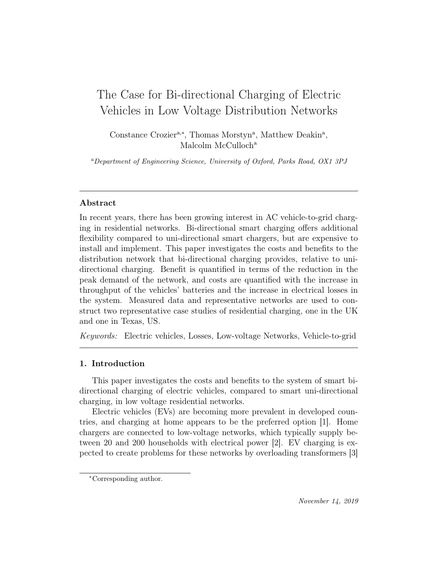# The Case for Bi-directional Charging of Electric Vehicles in Low Voltage Distribution Networks

Constance Crozier<sup>a,\*</sup>, Thomas Morstyn<sup>a</sup>, Matthew Deakin<sup>a</sup>, Malcolm McCulloch<sup>a</sup>

*<sup>a</sup>Department of Engineering Science, University of Oxford, Parks Road, OX1 3PJ*

# Abstract

In recent years, there has been growing interest in AC vehicle-to-grid charging in residential networks. Bi-directional smart charging offers additional flexibility compared to uni-directional smart chargers, but are expensive to install and implement. This paper investigates the costs and benefits to the distribution network that bi-directional charging provides, relative to unidirectional charging. Benefit is quantified in terms of the reduction in the peak demand of the network, and costs are quantified with the increase in throughput of the vehicles' batteries and the increase in electrical losses in the system. Measured data and representative networks are used to construct two representative case studies of residential charging, one in the UK and one in Texas, US.

*Keywords:* Electric vehicles, Losses, Low-voltage Networks, Vehicle-to-grid

# 1. Introduction

This paper investigates the costs and benefits to the system of smart bidirectional charging of electric vehicles, compared to smart uni-directional charging, in low voltage residential networks.

Electric vehicles (EVs) are becoming more prevalent in developed countries, and charging at home appears to be the preferred option [1]. Home chargers are connected to low-voltage networks, which typically supply between 20 and 200 households with electrical power [2]. EV charging is expected to create problems for these networks by overloading transformers [3]

<sup>⇤</sup>Corresponding author.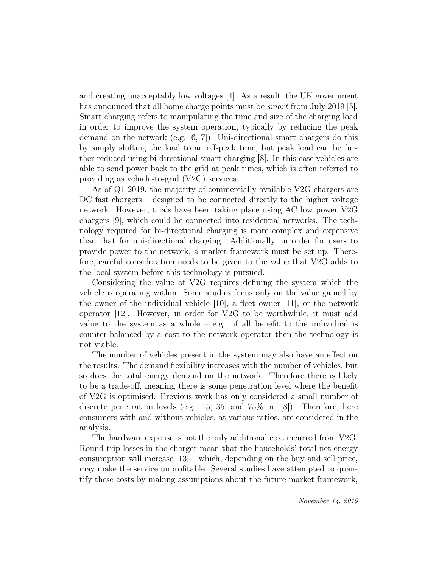and creating unacceptably low voltages [4]. As a result, the UK government has announced that all home charge points must be *smart* from July 2019 [5]. Smart charging refers to manipulating the time and size of the charging load in order to improve the system operation, typically by reducing the peak demand on the network (e.g.  $(6, 7)$ ). Uni-directional smart chargers do this by simply shifting the load to an off-peak time, but peak load can be further reduced using bi-directional smart charging [8]. In this case vehicles are able to send power back to the grid at peak times, which is often referred to providing as vehicle-to-grid (V2G) services.

As of Q1 2019, the majority of commercially available V2G chargers are DC fast chargers – designed to be connected directly to the higher voltage network. However, trials have been taking place using AC low power V2G chargers [9], which could be connected into residential networks. The technology required for bi-directional charging is more complex and expensive than that for uni-directional charging. Additionally, in order for users to provide power to the network, a market framework must be set up. Therefore, careful consideration needs to be given to the value that V2G adds to the local system before this technology is pursued.

Considering the value of V2G requires defining the system which the vehicle is operating within. Some studies focus only on the value gained by the owner of the individual vehicle [10], a fleet owner [11], or the network operator [12]. However, in order for V2G to be worthwhile, it must add value to the system as a whole  $-$  e.g. if all benefit to the individual is counter-balanced by a cost to the network operator then the technology is not viable.

The number of vehicles present in the system may also have an effect on the results. The demand flexibility increases with the number of vehicles, but so does the total energy demand on the network. Therefore there is likely to be a trade-off, meaning there is some penetration level where the benefit of V2G is optimised. Previous work has only considered a small number of discrete penetration levels (e.g. 15, 35, and 75% in [8]). Therefore, here consumers with and without vehicles, at various ratios, are considered in the analysis.

The hardware expense is not the only additional cost incurred from V2G. Round-trip losses in the charger mean that the households' total net energy consumption will increase [13] – which, depending on the buy and sell price, may make the service unprofitable. Several studies have attempted to quantify these costs by making assumptions about the future market framework,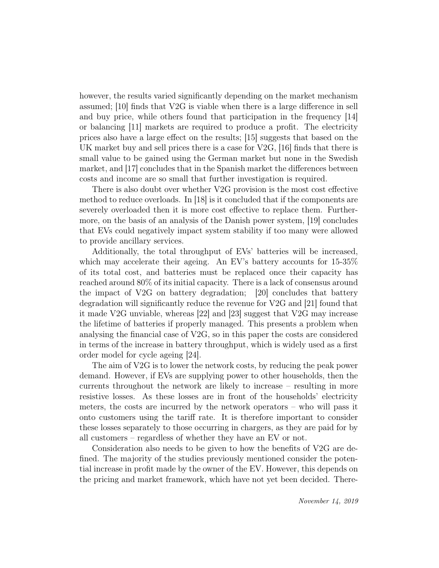however, the results varied significantly depending on the market mechanism assumed; [10] finds that V2G is viable when there is a large difference in sell and buy price, while others found that participation in the frequency [14] or balancing [11] markets are required to produce a profit. The electricity prices also have a large effect on the results; [15] suggests that based on the UK market buy and sell prices there is a case for V2G, [16] finds that there is small value to be gained using the German market but none in the Swedish market, and [17] concludes that in the Spanish market the differences between costs and income are so small that further investigation is required.

There is also doubt over whether V2G provision is the most cost effective method to reduce overloads. In [18] is it concluded that if the components are severely overloaded then it is more cost effective to replace them. Furthermore, on the basis of an analysis of the Danish power system, [19] concludes that EVs could negatively impact system stability if too many were allowed to provide ancillary services.

Additionally, the total throughput of EVs' batteries will be increased, which may accelerate their ageing. An EV's battery accounts for 15-35% of its total cost, and batteries must be replaced once their capacity has reached around 80% of its initial capacity. There is a lack of consensus around the impact of V2G on battery degradation; [20] concludes that battery degradation will significantly reduce the revenue for V2G and [21] found that it made V2G unviable, whereas [22] and [23] suggest that V2G may increase the lifetime of batteries if properly managed. This presents a problem when analysing the financial case of V2G, so in this paper the costs are considered in terms of the increase in battery throughput, which is widely used as a first order model for cycle ageing [24].

The aim of V2G is to lower the network costs, by reducing the peak power demand. However, if EVs are supplying power to other households, then the currents throughout the network are likely to increase – resulting in more resistive losses. As these losses are in front of the households' electricity meters, the costs are incurred by the network operators – who will pass it onto customers using the tariff rate. It is therefore important to consider these losses separately to those occurring in chargers, as they are paid for by all customers – regardless of whether they have an EV or not.

Consideration also needs to be given to how the benefits of V2G are defined. The majority of the studies previously mentioned consider the potential increase in profit made by the owner of the EV. However, this depends on the pricing and market framework, which have not yet been decided. There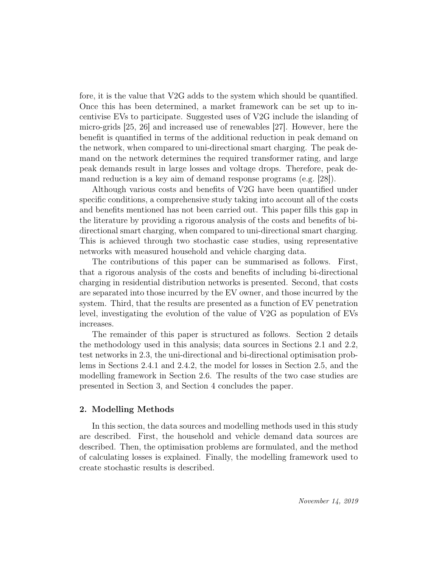fore, it is the value that V2G adds to the system which should be quantified. Once this has been determined, a market framework can be set up to incentivise EVs to participate. Suggested uses of V2G include the islanding of micro-grids [25, 26] and increased use of renewables [27]. However, here the benefit is quantified in terms of the additional reduction in peak demand on the network, when compared to uni-directional smart charging. The peak demand on the network determines the required transformer rating, and large peak demands result in large losses and voltage drops. Therefore, peak demand reduction is a key aim of demand response programs (e.g. [28]).

Although various costs and benefits of V2G have been quantified under specific conditions, a comprehensive study taking into account all of the costs and benefits mentioned has not been carried out. This paper fills this gap in the literature by providing a rigorous analysis of the costs and benefits of bidirectional smart charging, when compared to uni-directional smart charging. This is achieved through two stochastic case studies, using representative networks with measured household and vehicle charging data.

The contributions of this paper can be summarised as follows. First, that a rigorous analysis of the costs and benefits of including bi-directional charging in residential distribution networks is presented. Second, that costs are separated into those incurred by the EV owner, and those incurred by the system. Third, that the results are presented as a function of EV penetration level, investigating the evolution of the value of V2G as population of EVs increases.

The remainder of this paper is structured as follows. Section 2 details the methodology used in this analysis; data sources in Sections 2.1 and 2.2, test networks in 2.3, the uni-directional and bi-directional optimisation problems in Sections 2.4.1 and 2.4.2, the model for losses in Section 2.5, and the modelling framework in Section 2.6. The results of the two case studies are presented in Section 3, and Section 4 concludes the paper.

# 2. Modelling Methods

In this section, the data sources and modelling methods used in this study are described. First, the household and vehicle demand data sources are described. Then, the optimisation problems are formulated, and the method of calculating losses is explained. Finally, the modelling framework used to create stochastic results is described.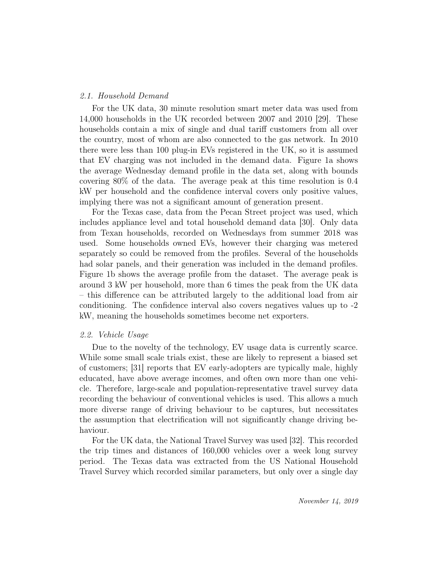# *2.1. Household Demand*

For the UK data, 30 minute resolution smart meter data was used from 14,000 households in the UK recorded between 2007 and 2010 [29]. These households contain a mix of single and dual tariff customers from all over the country, most of whom are also connected to the gas network. In 2010 there were less than 100 plug-in EVs registered in the UK, so it is assumed that EV charging was not included in the demand data. Figure 1a shows the average Wednesday demand profile in the data set, along with bounds covering 80% of the data. The average peak at this time resolution is 0.4 kW per household and the confidence interval covers only positive values, implying there was not a significant amount of generation present.

For the Texas case, data from the Pecan Street project was used, which includes appliance level and total household demand data [30]. Only data from Texan households, recorded on Wednesdays from summer 2018 was used. Some households owned EVs, however their charging was metered separately so could be removed from the profiles. Several of the households had solar panels, and their generation was included in the demand profiles. Figure 1b shows the average profile from the dataset. The average peak is around 3 kW per household, more than 6 times the peak from the UK data – this difference can be attributed largely to the additional load from air conditioning. The confidence interval also covers negatives values up to -2 kW, meaning the households sometimes become net exporters.

# *2.2. Vehicle Usage*

Due to the novelty of the technology, EV usage data is currently scarce. While some small scale trials exist, these are likely to represent a biased set of customers; [31] reports that EV early-adopters are typically male, highly educated, have above average incomes, and often own more than one vehicle. Therefore, large-scale and population-representative travel survey data recording the behaviour of conventional vehicles is used. This allows a much more diverse range of driving behaviour to be captures, but necessitates the assumption that electrification will not significantly change driving behaviour.

For the UK data, the National Travel Survey was used [32]. This recorded the trip times and distances of 160,000 vehicles over a week long survey period. The Texas data was extracted from the US National Household Travel Survey which recorded similar parameters, but only over a single day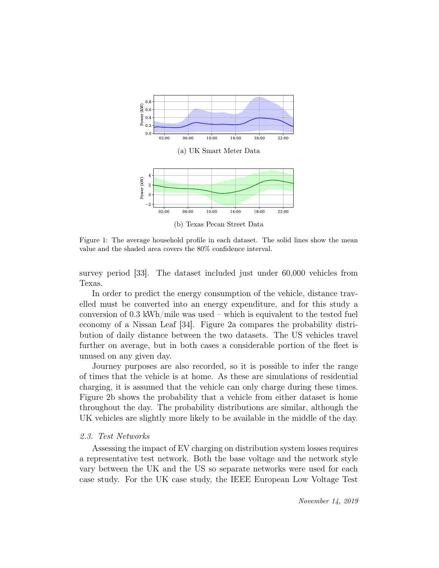

(b) Texas Pecan Street Data

Figure 1: The average household profile in each dataset. The solid lines show the mean value and the shaded area covers the 80% confidence interval.

survey period [33]. The dataset included just under 60,000 vehicles from Texas.

In order to predict the energy consumption of the vehicle, distance travelled must be converted into an energy expenditure, and for this study a conversion of  $0.3 \text{ kWh/mile}$  was used – which is equivalent to the tested fuel economy of a Nissan Leaf [34]. Figure 2a compares the probability distribution of daily distance between the two datasets. The US vehicles travel further on average, but in both cases a considerable portion of the fleet is unused on any given day.

Journey purposes are also recorded, so it is possible to infer the range of times that the vehicle is at home. As these are simulations of residential charging, it is assumed that the vehicle can only charge during these times. Figure 2b shows the probability that a vehicle from either dataset is home throughout the day. The probability distributions are similar, although the UK vehicles are slightly more likely to be available in the middle of the day.

# *2.3. Test Networks*

Assessing the impact of EV charging on distribution system losses requires a representative test network. Both the base voltage and the network style vary between the UK and the US so separate networks were used for each case study. For the UK case study, the IEEE European Low Voltage Test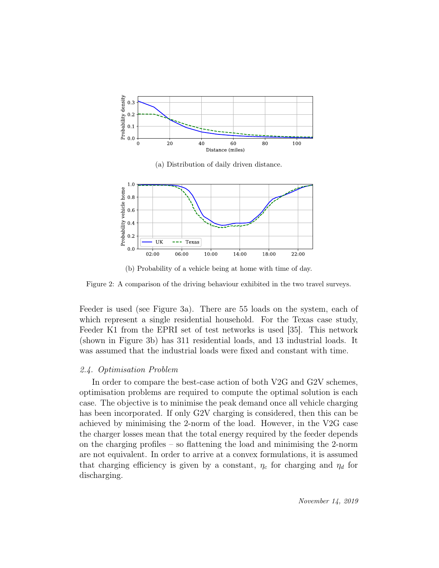

(b) Probability of a vehicle being at home with time of day.

Figure 2: A comparison of the driving behaviour exhibited in the two travel surveys.

Feeder is used (see Figure 3a). There are 55 loads on the system, each of which represent a single residential household. For the Texas case study, Feeder K1 from the EPRI set of test networks is used [35]. This network (shown in Figure 3b) has 311 residential loads, and 13 industrial loads. It was assumed that the industrial loads were fixed and constant with time.

# *2.4. Optimisation Problem*

In order to compare the best-case action of both V2G and G2V schemes, optimisation problems are required to compute the optimal solution is each case. The objective is to minimise the peak demand once all vehicle charging has been incorporated. If only G2V charging is considered, then this can be achieved by minimising the 2-norm of the load. However, in the V2G case the charger losses mean that the total energy required by the feeder depends on the charging profiles – so flattening the load and minimising the 2-norm are not equivalent. In order to arrive at a convex formulations, it is assumed that charging efficiency is given by a constant,  $\eta_c$  for charging and  $\eta_d$  for discharging.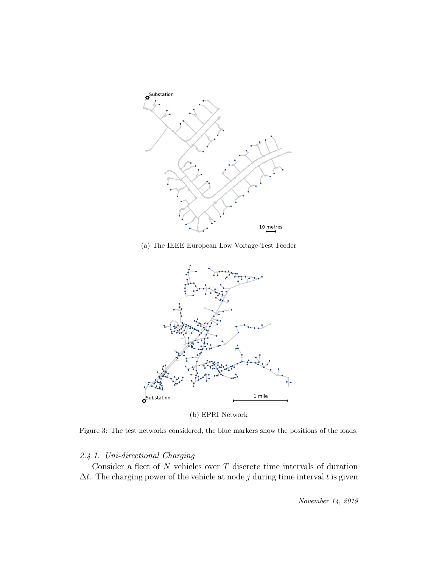

(a) The IEEE European Low Voltage Test Feeder



(b) EPRI Network

Figure 3: The test networks considered, the blue markers show the positions of the loads.

# *2.4.1. Uni-directional Charging*

Consider a fleet of *N* vehicles over *T* discrete time intervals of duration  $\Delta t$ . The charging power of the vehicle at node *j* during time interval *t* is given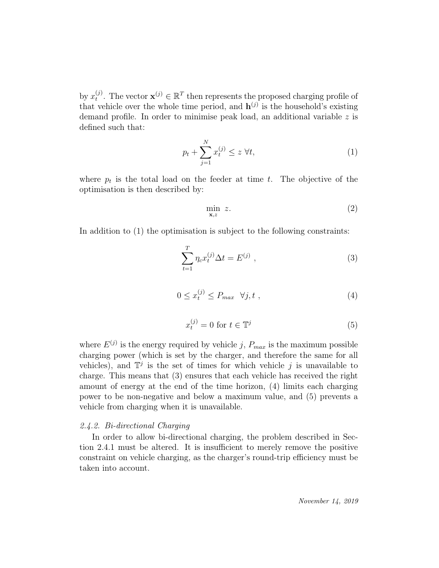by  $x_t^{(j)}$ . The vector  $\mathbf{x}^{(j)} \in \mathbb{R}^T$  then represents the proposed charging profile of that vehicle over the whole time period, and  $h^{(j)}$  is the household's existing demand profile. In order to minimise peak load, an additional variable *z* is defined such that:

$$
p_t + \sum_{j=1}^{N} x_t^{(j)} \le z \ \forall t,\tag{1}
$$

where  $p_t$  is the total load on the feeder at time  $t$ . The objective of the optimisation is then described by:

$$
\min_{\mathbf{x},z} \quad z.\tag{2}
$$

In addition to (1) the optimisation is subject to the following constraints:

$$
\sum_{t=1}^{T} \eta_c x_t^{(j)} \Delta t = E^{(j)} \,, \tag{3}
$$

$$
0 \le x_t^{(j)} \le P_{max} \quad \forall j, t \tag{4}
$$

$$
x_t^{(j)} = 0 \text{ for } t \in \mathbb{T}^j \tag{5}
$$

where  $E^{(j)}$  is the energy required by vehicle *j*,  $P_{max}$  is the maximum possible charging power (which is set by the charger, and therefore the same for all vehicles), and  $\mathbb{T}^j$  is the set of times for which vehicle *j* is unavailable to charge. This means that (3) ensures that each vehicle has received the right amount of energy at the end of the time horizon, (4) limits each charging power to be non-negative and below a maximum value, and (5) prevents a vehicle from charging when it is unavailable.

# *2.4.2. Bi-directional Charging*

In order to allow bi-directional charging, the problem described in Section 2.4.1 must be altered. It is insufficient to merely remove the positive constraint on vehicle charging, as the charger's round-trip efficiency must be taken into account.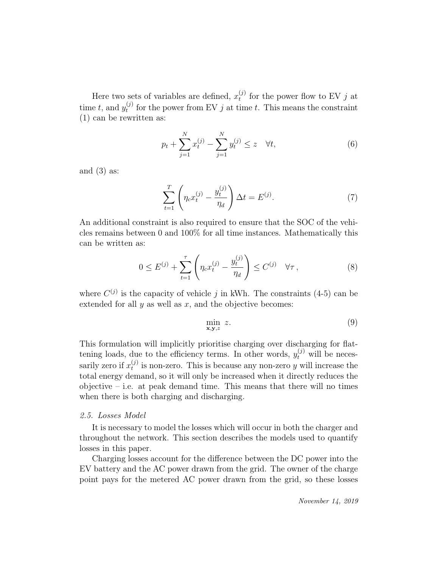Here two sets of variables are defined,  $x_t^{(j)}$  for the power flow to EV *j* at time *t*, and  $y_t^{(j)}$  for the power from EV *j* at time *t*. This means the constraint (1) can be rewritten as:

$$
p_t + \sum_{j=1}^{N} x_t^{(j)} - \sum_{j=1}^{N} y_t^{(j)} \le z \quad \forall t,
$$
\n(6)

and  $(3)$  as:

$$
\sum_{t=1}^{T} \left( \eta_c x_t^{(j)} - \frac{y_t^{(j)}}{\eta_d} \right) \Delta t = E^{(j)}.
$$
 (7)

An additional constraint is also required to ensure that the SOC of the vehicles remains between 0 and 100% for all time instances. Mathematically this can be written as:

$$
0 \le E^{(j)} + \sum_{t=1}^{\tau} \left( \eta_c x_t^{(j)} - \frac{y_t^{(j)}}{\eta_d} \right) \le C^{(j)} \quad \forall \tau,
$$
 (8)

where  $C^{(j)}$  is the capacity of vehicle *j* in kWh. The constraints (4-5) can be extended for all  $y$  as well as  $x$ , and the objective becomes:

$$
\min_{\mathbf{x}, \mathbf{y}, z} \quad z. \tag{9}
$$

This formulation will implicitly prioritise charging over discharging for flattening loads, due to the efficiency terms. In other words,  $y_t^{(j)}$  will be necessarily zero if  $x_t^{(j)}$  is non-zero. This is because any non-zero *y* will increase the total energy demand, so it will only be increased when it directly reduces the  $objective - i.e.$  at peak demand time. This means that there will no times when there is both charging and discharging.

#### *2.5. Losses Model*

It is necessary to model the losses which will occur in both the charger and throughout the network. This section describes the models used to quantify losses in this paper.

Charging losses account for the difference between the DC power into the EV battery and the AC power drawn from the grid. The owner of the charge point pays for the metered AC power drawn from the grid, so these losses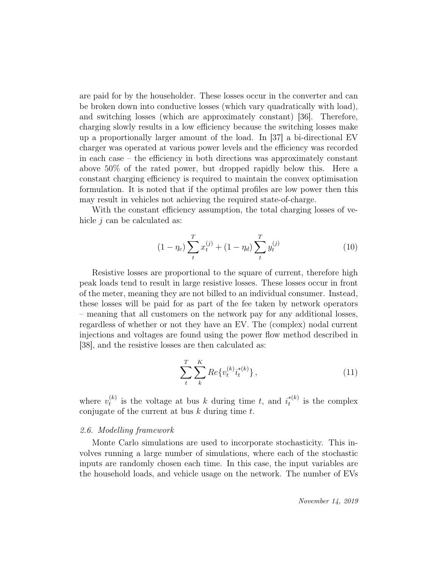are paid for by the householder. These losses occur in the converter and can be broken down into conductive losses (which vary quadratically with load), and switching losses (which are approximately constant) [36]. Therefore, charging slowly results in a low efficiency because the switching losses make up a proportionally larger amount of the load. In [37] a bi-directional EV charger was operated at various power levels and the efficiency was recorded in each case – the efficiency in both directions was approximately constant above 50% of the rated power, but dropped rapidly below this. Here a constant charging efficiency is required to maintain the convex optimisation formulation. It is noted that if the optimal profiles are low power then this may result in vehicles not achieving the required state-of-charge.

With the constant efficiency assumption, the total charging losses of vehicle *j* can be calculated as:

$$
(1 - \eta_c) \sum_{t}^{T} x_t^{(j)} + (1 - \eta_d) \sum_{t}^{T} y_t^{(j)}
$$
(10)

Resistive losses are proportional to the square of current, therefore high peak loads tend to result in large resistive losses. These losses occur in front of the meter, meaning they are not billed to an individual consumer. Instead, these losses will be paid for as part of the fee taken by network operators – meaning that all customers on the network pay for any additional losses, regardless of whether or not they have an EV. The (complex) nodal current injections and voltages are found using the power flow method described in [38], and the resistive losses are then calculated as:

$$
\sum_{t}^{T} \sum_{k}^{K} Re\{v_t^{(k)} i_t^{*(k)}\},\tag{11}
$$

where  $v_t^{(k)}$  is the voltage at bus *k* during time *t*, and  $i_t^{*(k)}$  is the complex conjugate of the current at bus *k* during time *t*.

#### *2.6. Modelling framework*

Monte Carlo simulations are used to incorporate stochasticity. This involves running a large number of simulations, where each of the stochastic inputs are randomly chosen each time. In this case, the input variables are the household loads, and vehicle usage on the network. The number of EVs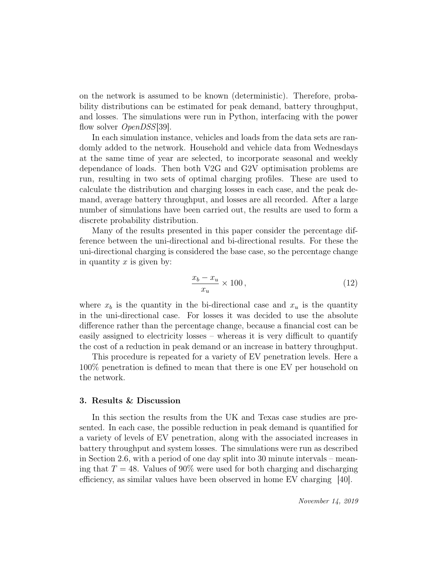on the network is assumed to be known (deterministic). Therefore, probability distributions can be estimated for peak demand, battery throughput, and losses. The simulations were run in Python, interfacing with the power flow solver *OpenDSS*[39].

In each simulation instance, vehicles and loads from the data sets are randomly added to the network. Household and vehicle data from Wednesdays at the same time of year are selected, to incorporate seasonal and weekly dependance of loads. Then both V2G and G2V optimisation problems are run, resulting in two sets of optimal charging profiles. These are used to calculate the distribution and charging losses in each case, and the peak demand, average battery throughput, and losses are all recorded. After a large number of simulations have been carried out, the results are used to form a discrete probability distribution.

Many of the results presented in this paper consider the percentage difference between the uni-directional and bi-directional results. For these the uni-directional charging is considered the base case, so the percentage change in quantity *x* is given by:

$$
\frac{x_b - x_u}{x_u} \times 100\,,\tag{12}
$$

where  $x_b$  is the quantity in the bi-directional case and  $x_u$  is the quantity in the uni-directional case. For losses it was decided to use the absolute difference rather than the percentage change, because a financial cost can be easily assigned to electricity losses – whereas it is very difficult to quantify the cost of a reduction in peak demand or an increase in battery throughput.

This procedure is repeated for a variety of EV penetration levels. Here a 100% penetration is defined to mean that there is one EV per household on the network.

#### 3. Results & Discussion

In this section the results from the UK and Texas case studies are presented. In each case, the possible reduction in peak demand is quantified for a variety of levels of EV penetration, along with the associated increases in battery throughput and system losses. The simulations were run as described in Section 2.6, with a period of one day split into 30 minute intervals – meaning that  $T = 48$ . Values of 90% were used for both charging and discharging efficiency, as similar values have been observed in home EV charging [40].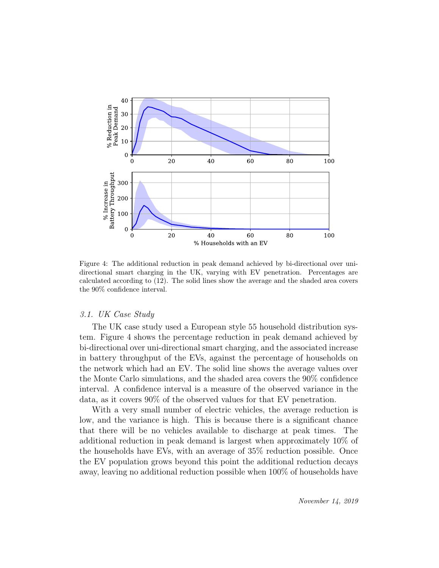

Figure 4: The additional reduction in peak demand achieved by bi-directional over unidirectional smart charging in the UK, varying with EV penetration. Percentages are calculated according to (12). The solid lines show the average and the shaded area covers the 90% confidence interval.

#### *3.1. UK Case Study*

The UK case study used a European style 55 household distribution system. Figure 4 shows the percentage reduction in peak demand achieved by bi-directional over uni-directional smart charging, and the associated increase in battery throughput of the EVs, against the percentage of households on the network which had an EV. The solid line shows the average values over the Monte Carlo simulations, and the shaded area covers the 90% confidence interval. A confidence interval is a measure of the observed variance in the data, as it covers 90% of the observed values for that EV penetration.

With a very small number of electric vehicles, the average reduction is low, and the variance is high. This is because there is a significant chance that there will be no vehicles available to discharge at peak times. The additional reduction in peak demand is largest when approximately 10% of the households have EVs, with an average of 35% reduction possible. Once the EV population grows beyond this point the additional reduction decays away, leaving no additional reduction possible when 100% of households have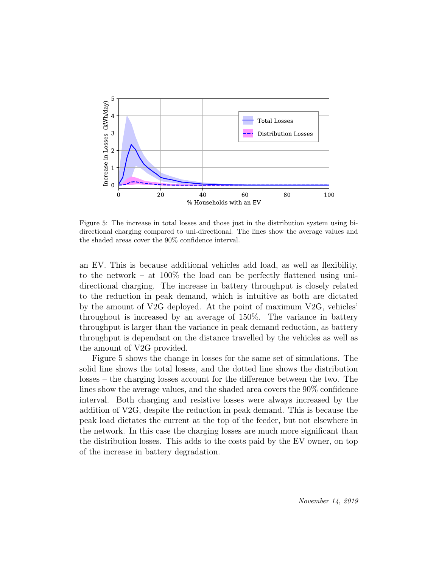

Figure 5: The increase in total losses and those just in the distribution system using bidirectional charging compared to uni-directional. The lines show the average values and the shaded areas cover the 90% confidence interval.

an EV. This is because additional vehicles add load, as well as flexibility, to the network – at  $100\%$  the load can be perfectly flattened using unidirectional charging. The increase in battery throughput is closely related to the reduction in peak demand, which is intuitive as both are dictated by the amount of V2G deployed. At the point of maximum V2G, vehicles' throughout is increased by an average of 150%. The variance in battery throughput is larger than the variance in peak demand reduction, as battery throughput is dependant on the distance travelled by the vehicles as well as the amount of V2G provided.

Figure 5 shows the change in losses for the same set of simulations. The solid line shows the total losses, and the dotted line shows the distribution losses – the charging losses account for the difference between the two. The lines show the average values, and the shaded area covers the 90% confidence interval. Both charging and resistive losses were always increased by the addition of V2G, despite the reduction in peak demand. This is because the peak load dictates the current at the top of the feeder, but not elsewhere in the network. In this case the charging losses are much more significant than the distribution losses. This adds to the costs paid by the EV owner, on top of the increase in battery degradation.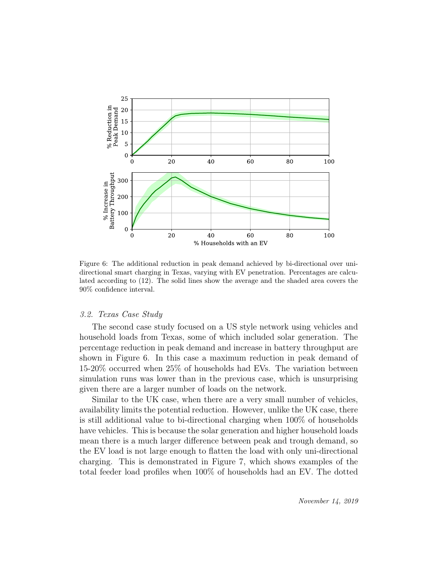

Figure 6: The additional reduction in peak demand achieved by bi-directional over unidirectional smart charging in Texas, varying with EV penetration. Percentages are calculated according to (12). The solid lines show the average and the shaded area covers the 90% confidence interval.

#### *3.2. Texas Case Study*

The second case study focused on a US style network using vehicles and household loads from Texas, some of which included solar generation. The percentage reduction in peak demand and increase in battery throughput are shown in Figure 6. In this case a maximum reduction in peak demand of 15-20% occurred when 25% of households had EVs. The variation between simulation runs was lower than in the previous case, which is unsurprising given there are a larger number of loads on the network.

Similar to the UK case, when there are a very small number of vehicles, availability limits the potential reduction. However, unlike the UK case, there is still additional value to bi-directional charging when 100% of households have vehicles. This is because the solar generation and higher household loads mean there is a much larger difference between peak and trough demand, so the EV load is not large enough to flatten the load with only uni-directional charging. This is demonstrated in Figure 7, which shows examples of the total feeder load profiles when 100% of households had an EV. The dotted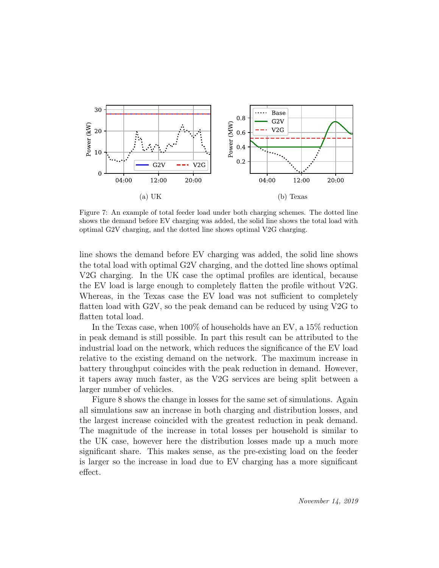

Figure 7: An example of total feeder load under both charging schemes. The dotted line shows the demand before EV charging was added, the solid line shows the total load with optimal G2V charging, and the dotted line shows optimal V2G charging.

line shows the demand before EV charging was added, the solid line shows the total load with optimal G2V charging, and the dotted line shows optimal V2G charging. In the UK case the optimal profiles are identical, because the EV load is large enough to completely flatten the profile without V2G. Whereas, in the Texas case the EV load was not sufficient to completely flatten load with G2V, so the peak demand can be reduced by using V2G to flatten total load.

In the Texas case, when 100% of households have an EV, a 15% reduction in peak demand is still possible. In part this result can be attributed to the industrial load on the network, which reduces the significance of the EV load relative to the existing demand on the network. The maximum increase in battery throughput coincides with the peak reduction in demand. However, it tapers away much faster, as the V2G services are being split between a larger number of vehicles.

Figure 8 shows the change in losses for the same set of simulations. Again all simulations saw an increase in both charging and distribution losses, and the largest increase coincided with the greatest reduction in peak demand. The magnitude of the increase in total losses per household is similar to the UK case, however here the distribution losses made up a much more significant share. This makes sense, as the pre-existing load on the feeder is larger so the increase in load due to EV charging has a more significant effect.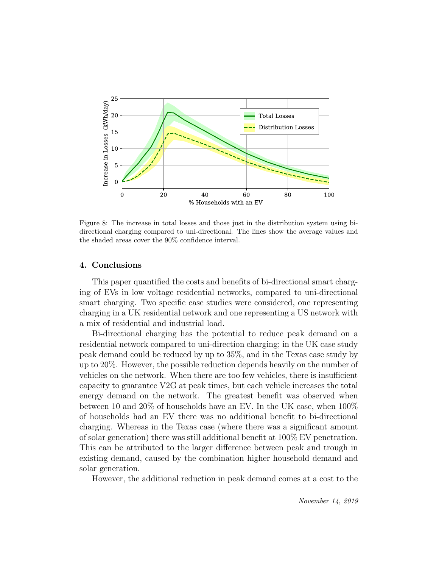

Figure 8: The increase in total losses and those just in the distribution system using bidirectional charging compared to uni-directional. The lines show the average values and the shaded areas cover the 90% confidence interval.

#### 4. Conclusions

This paper quantified the costs and benefits of bi-directional smart charging of EVs in low voltage residential networks, compared to uni-directional smart charging. Two specific case studies were considered, one representing charging in a UK residential network and one representing a US network with a mix of residential and industrial load.

Bi-directional charging has the potential to reduce peak demand on a residential network compared to uni-direction charging; in the UK case study peak demand could be reduced by up to 35%, and in the Texas case study by up to 20%. However, the possible reduction depends heavily on the number of vehicles on the network. When there are too few vehicles, there is insufficient capacity to guarantee V2G at peak times, but each vehicle increases the total energy demand on the network. The greatest benefit was observed when between 10 and 20% of households have an EV. In the UK case, when 100% of households had an EV there was no additional benefit to bi-directional charging. Whereas in the Texas case (where there was a significant amount of solar generation) there was still additional benefit at 100% EV penetration. This can be attributed to the larger difference between peak and trough in existing demand, caused by the combination higher household demand and solar generation.

However, the additional reduction in peak demand comes at a cost to the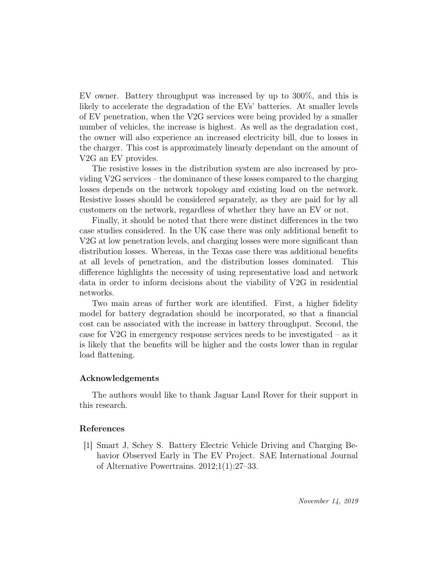EV owner. Battery throughput was increased by up to 300%, and this is likely to accelerate the degradation of the EVs' batteries. At smaller levels of EV penetration, when the V2G services were being provided by a smaller number of vehicles, the increase is highest. As well as the degradation cost, the owner will also experience an increased electricity bill, due to losses in the charger. This cost is approximately linearly dependant on the amount of V2G an EV provides.

The resistive losses in the distribution system are also increased by providing V2G services – the dominance of these losses compared to the charging losses depends on the network topology and existing load on the network. Resistive losses should be considered separately, as they are paid for by all customers on the network, regardless of whether they have an EV or not.

Finally, it should be noted that there were distinct differences in the two case studies considered. In the UK case there was only additional benefit to V2G at low penetration levels, and charging losses were more significant than distribution losses. Whereas, in the Texas case there was additional benefits at all levels of penetration, and the distribution losses dominated. This difference highlights the necessity of using representative load and network data in order to inform decisions about the viability of V2G in residential networks.

Two main areas of further work are identified. First, a higher fidelity model for battery degradation should be incorporated, so that a financial cost can be associated with the increase in battery throughput. Second, the case for V2G in emergency response services needs to be investigated – as it is likely that the benefits will be higher and the costs lower than in regular load flattening.

# Acknowledgements

The authors would like to thank Jaguar Land Rover for their support in this research.

# References

[1] Smart J, Schey S. Battery Electric Vehicle Driving and Charging Behavior Observed Early in The EV Project. SAE International Journal of Alternative Powertrains. 2012;1(1):27–33.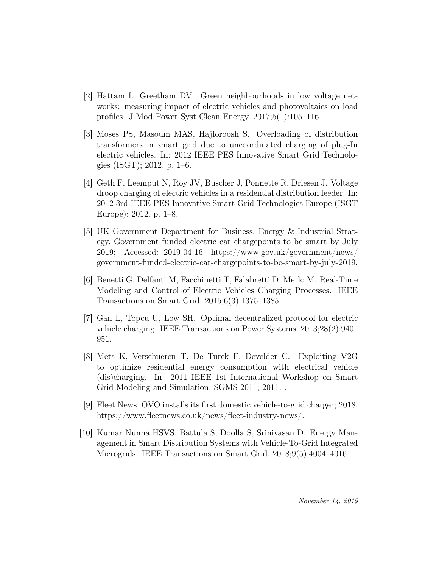- [2] Hattam L, Greetham DV. Green neighbourhoods in low voltage networks: measuring impact of electric vehicles and photovoltaics on load profiles. J Mod Power Syst Clean Energy. 2017;5(1):105–116.
- [3] Moses PS, Masoum MAS, Hajforoosh S. Overloading of distribution transformers in smart grid due to uncoordinated charging of plug-In electric vehicles. In: 2012 IEEE PES Innovative Smart Grid Technologies (ISGT); 2012. p. 1–6.
- [4] Geth F, Leemput N, Roy JV, Buscher J, Ponnette R, Driesen J. Voltage droop charging of electric vehicles in a residential distribution feeder. In: 2012 3rd IEEE PES Innovative Smart Grid Technologies Europe (ISGT Europe); 2012. p. 1–8.
- [5] UK Government Department for Business, Energy & Industrial Strategy. Government funded electric car chargepoints to be smart by July 2019;. Accessed: 2019-04-16. https://www.gov.uk/government/news/ government-funded-electric-car-chargepoints-to-be-smart-by-july-2019.
- [6] Benetti G, Delfanti M, Facchinetti T, Falabretti D, Merlo M. Real-Time Modeling and Control of Electric Vehicles Charging Processes. IEEE Transactions on Smart Grid. 2015;6(3):1375–1385.
- [7] Gan L, Topcu U, Low SH. Optimal decentralized protocol for electric vehicle charging. IEEE Transactions on Power Systems. 2013;28(2):940– 951.
- [8] Mets K, Verschueren T, De Turck F, Develder C. Exploiting V2G to optimize residential energy consumption with electrical vehicle (dis)charging. In: 2011 IEEE 1st International Workshop on Smart Grid Modeling and Simulation, SGMS 2011; 2011. .
- [9] Fleet News. OVO installs its first domestic vehicle-to-grid charger; 2018. https://www.fleetnews.co.uk/news/fleet-industry-news/.
- [10] Kumar Nunna HSVS, Battula S, Doolla S, Srinivasan D. Energy Management in Smart Distribution Systems with Vehicle-To-Grid Integrated Microgrids. IEEE Transactions on Smart Grid. 2018;9(5):4004–4016.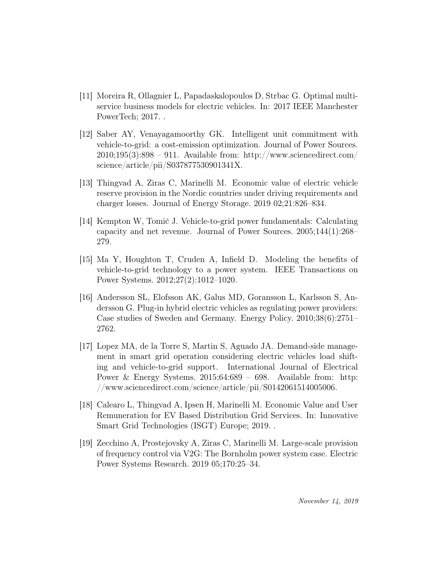- [11] Moreira R, Ollagnier L, Papadaskalopoulos D, Strbac G. Optimal multiservice business models for electric vehicles. In: 2017 IEEE Manchester PowerTech; 2017...
- [12] Saber AY, Venayagamoorthy GK. Intelligent unit commitment with vehicle-to-grid: a cost-emission optimization. Journal of Power Sources.  $2010;195(3):898 - 911$ . Available from: http://www.sciencedirect.com/ science/article/pii/S037877530901341X.
- [13] Thingvad A, Ziras C, Marinelli M. Economic value of electric vehicle reserve provision in the Nordic countries under driving requirements and charger losses. Journal of Energy Storage. 2019 02;21:826–834.
- [14] Kempton W, Tomić J. Vehicle-to-grid power fundamentals: Calculating capacity and net revenue. Journal of Power Sources. 2005;144(1):268– 279.
- [15] Ma Y, Houghton T, Cruden A, Infield D. Modeling the benefits of vehicle-to-grid technology to a power system. IEEE Transactions on Power Systems. 2012;27(2):1012–1020.
- [16] Andersson SL, Elofsson AK, Galus MD, Goransson L, Karlsson S, Andersson G. Plug-in hybrid electric vehicles as regulating power providers: Case studies of Sweden and Germany. Energy Policy. 2010;38(6):2751– 2762.
- [17] Lopez MA, de la Torre S, Martin S, Aguado JA. Demand-side management in smart grid operation considering electric vehicles load shifting and vehicle-to-grid support. International Journal of Electrical Power & Energy Systems. 2015;64:689 – 698. Available from: http: //www.sciencedirect.com/science/article/pii/S0142061514005006.
- [18] Calearo L, Thingvad A, Ipsen H, Marinelli M. Economic Value and User Remuneration for EV Based Distribution Grid Services. In: Innovative Smart Grid Technologies (ISGT) Europe; 2019. .
- [19] Zecchino A, Prostejovsky A, Ziras C, Marinelli M. Large-scale provision of frequency control via V2G: The Bornholm power system case. Electric Power Systems Research. 2019 05;170:25–34.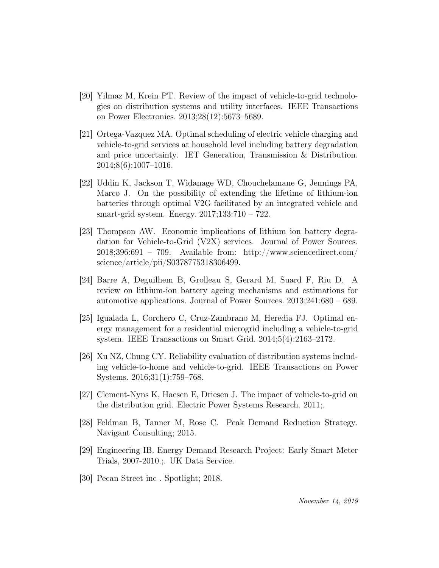- [20] Yilmaz M, Krein PT. Review of the impact of vehicle-to-grid technologies on distribution systems and utility interfaces. IEEE Transactions on Power Electronics. 2013;28(12):5673–5689.
- [21] Ortega-Vazquez MA. Optimal scheduling of electric vehicle charging and vehicle-to-grid services at household level including battery degradation and price uncertainty. IET Generation, Transmission & Distribution. 2014;8(6):1007–1016.
- [22] Uddin K, Jackson T, Widanage WD, Chouchelamane G, Jennings PA, Marco J. On the possibility of extending the lifetime of lithium-ion batteries through optimal V2G facilitated by an integrated vehicle and smart-grid system. Energy. 2017;133:710 – 722.
- [23] Thompson AW. Economic implications of lithium ion battery degradation for Vehicle-to-Grid (V2X) services. Journal of Power Sources.  $2018;396:691 - 709$ . Available from: http://www.sciencedirect.com/ science/article/pii/S0378775318306499.
- [24] Barre A, Deguilhem B, Grolleau S, Gerard M, Suard F, Riu D. A review on lithium-ion battery ageing mechanisms and estimations for automotive applications. Journal of Power Sources. 2013;241:680 – 689.
- [25] Igualada L, Corchero C, Cruz-Zambrano M, Heredia FJ. Optimal energy management for a residential microgrid including a vehicle-to-grid system. IEEE Transactions on Smart Grid. 2014;5(4):2163–2172.
- [26] Xu NZ, Chung CY. Reliability evaluation of distribution systems including vehicle-to-home and vehicle-to-grid. IEEE Transactions on Power Systems. 2016;31(1):759–768.
- [27] Clement-Nyns K, Haesen E, Driesen J. The impact of vehicle-to-grid on the distribution grid. Electric Power Systems Research. 2011;.
- [28] Feldman B, Tanner M, Rose C. Peak Demand Reduction Strategy. Navigant Consulting; 2015.
- [29] Engineering IB. Energy Demand Research Project: Early Smart Meter Trials, 2007-2010.;. UK Data Service.
- [30] Pecan Street inc . Spotlight; 2018.